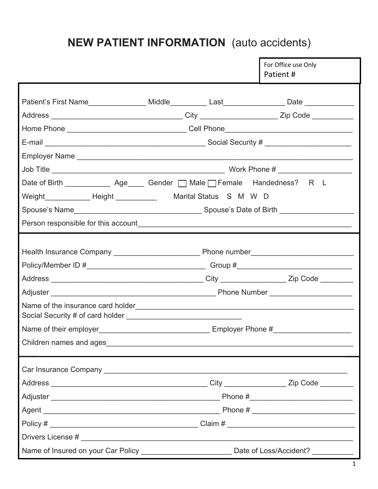# **NEW PATIENT INFORMATION** (auto accidents)

|                                                                                                    |                                                                                                   |  | For Office use Only<br>Patient# |
|----------------------------------------------------------------------------------------------------|---------------------------------------------------------------------------------------------------|--|---------------------------------|
| Patient's First Name_________________ Middle__________ Last________________ Date _________________ |                                                                                                   |  |                                 |
|                                                                                                    |                                                                                                   |  |                                 |
|                                                                                                    | Home Phone __________________________________Cell Phone__________________________                 |  |                                 |
|                                                                                                    |                                                                                                   |  |                                 |
|                                                                                                    |                                                                                                   |  |                                 |
|                                                                                                    |                                                                                                   |  |                                 |
|                                                                                                    | Date of Birth _______________ Age______ Gender __ Male __ Female Handedness? R L                  |  |                                 |
|                                                                                                    |                                                                                                   |  |                                 |
|                                                                                                    |                                                                                                   |  |                                 |
|                                                                                                    |                                                                                                   |  |                                 |
|                                                                                                    |                                                                                                   |  |                                 |
|                                                                                                    |                                                                                                   |  |                                 |
|                                                                                                    |                                                                                                   |  |                                 |
|                                                                                                    |                                                                                                   |  |                                 |
|                                                                                                    |                                                                                                   |  |                                 |
|                                                                                                    |                                                                                                   |  |                                 |
|                                                                                                    |                                                                                                   |  |                                 |
|                                                                                                    |                                                                                                   |  |                                 |
|                                                                                                    |                                                                                                   |  |                                 |
|                                                                                                    |                                                                                                   |  |                                 |
|                                                                                                    |                                                                                                   |  |                                 |
|                                                                                                    |                                                                                                   |  |                                 |
|                                                                                                    |                                                                                                   |  |                                 |
|                                                                                                    |                                                                                                   |  |                                 |
|                                                                                                    |                                                                                                   |  |                                 |
|                                                                                                    | Name of Insured on your Car Policy ___________________________ Date of Loss/Accident? ___________ |  |                                 |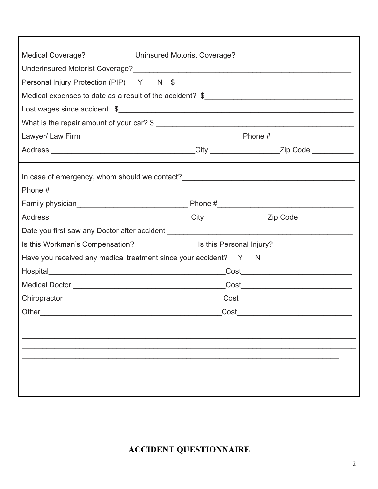| Medical Coverage? _____________ Uninsured Motorist Coverage? ____________________                   |      |  |  |  |  |
|-----------------------------------------------------------------------------------------------------|------|--|--|--|--|
|                                                                                                     |      |  |  |  |  |
|                                                                                                     |      |  |  |  |  |
|                                                                                                     |      |  |  |  |  |
|                                                                                                     |      |  |  |  |  |
|                                                                                                     |      |  |  |  |  |
|                                                                                                     |      |  |  |  |  |
|                                                                                                     |      |  |  |  |  |
|                                                                                                     |      |  |  |  |  |
|                                                                                                     |      |  |  |  |  |
|                                                                                                     |      |  |  |  |  |
|                                                                                                     |      |  |  |  |  |
| Is this Workman's Compensation? _____________________Is this Personal Injury?______________________ |      |  |  |  |  |
| Have you received any medical treatment since your accident? Y N                                    |      |  |  |  |  |
|                                                                                                     |      |  |  |  |  |
|                                                                                                     |      |  |  |  |  |
|                                                                                                     |      |  |  |  |  |
| Other                                                                                               | Cost |  |  |  |  |
|                                                                                                     |      |  |  |  |  |
|                                                                                                     |      |  |  |  |  |
|                                                                                                     |      |  |  |  |  |
|                                                                                                     |      |  |  |  |  |
|                                                                                                     |      |  |  |  |  |
|                                                                                                     |      |  |  |  |  |

**ACCIDENT QUESTIONNAIRE**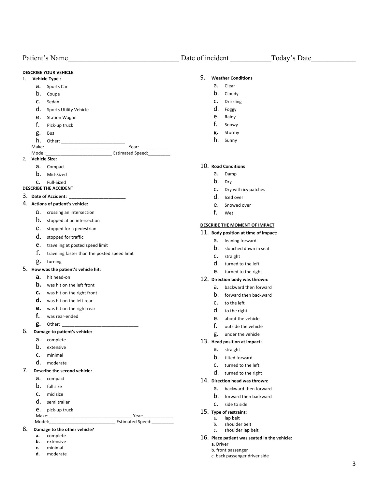Patient's Name Date of incident Today's Date **DESCRIBE YOUR VEHICLE** 1. **Vehicle Type** : a. Sports Car b. Coupe c. Sedan d. Sports Utility Vehicle e. Station Wagon f. Pick-up truck g. Bus h. Other: Make:\_\_\_\_\_\_\_\_\_\_\_\_\_\_\_\_\_\_\_\_\_\_\_\_\_\_\_\_\_\_\_\_\_\_ Year:\_\_\_\_\_\_\_\_\_\_\_\_ Model:\_\_\_\_\_\_\_\_\_\_\_\_\_\_\_\_\_\_\_\_\_\_\_\_\_\_\_ Estimated Speed:\_\_\_\_\_\_\_\_\_ 2. **Vehicle Size:**  a. Compact b. Mid-Sized c. Full-Sized **DESCRIBE THE ACCIDENT** 3. **Date of Accident: \_\_\_\_\_\_\_\_\_\_\_\_\_\_\_\_\_\_\_\_\_\_\_** 4. **Actions of patient's vehicle:** a. crossing an intersection b. stopped at an intersection c. stopped for a pedestrian d. stopped for traffic e. traveling at posted speed limit f. traveling faster than the posted speed limit g. turning 5. **How was the patient's vehicle hit: a.** hit head-on **b.** was hit on the left front **c.** was hit on the right front **d.** was hit on the left rear **e.** was hit on the right rear **f.** was rear-ended **g.** Other: 6. **Damage to patient's vehicle:** a. complete b. extensive c. minimal d. moderate 7. **Describe the second vehicle:** a. compact b. full size c. mid size d. semi trailer e. pick-up truck Make:\_\_\_\_\_\_\_\_\_\_\_\_\_\_\_\_\_\_\_\_\_\_\_\_\_\_\_\_\_\_\_\_\_\_ Year:\_\_\_\_\_\_\_\_\_\_\_\_ Model: Communication of the Estimated Speed: 8. **Damage to the other vehicle? a.** complete 9. **Weather Conditions** a. Clear b. Cloudy c. Drizzling d. Foggy e. Rainy f. Snowy g. Stormy h. Sunny 10. **Road Conditions** a. Damp b. Dry c. Dry with icy patches d. Iced over e. Snowed over f. Wet **DESCRIBE THE MOMENT OF IMPACT** 11. **Body position at time of impact:** a. leaning forward b. slouched down in seat c. straight d. turned to the left e. turned to the right 12. **Direction body was thrown:** a. backward then forward b. forward then backward c. to the left d. to the right e. about the vehicle f. outside the vehicle g. under the vehicle 13. **Head position at impact:** a. straight b. tilted forward c. turned to the left d. turned to the right 14. **Direction head was thrown:** a. backward then forward b. forward then backward c. side to side 15. **Type of restraint:** a. lap belt b. shoulder belt c. shoulder lap belt 16. **Place patient was seated in the vehicle:**

- **b.** extensive
- **c.** minimal
- **d.** moderate
- a. Driver
- b. front passenger
- c. back passenger driver side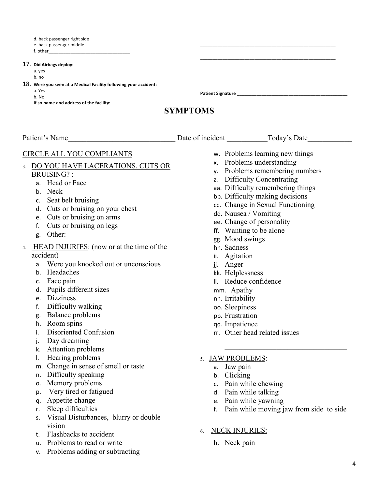d. back passenger right side

e. back passenger middle

f. other\_\_\_\_\_\_\_\_\_\_\_\_\_\_\_\_\_\_\_\_\_\_\_\_\_\_\_\_\_\_\_\_\_

17. **Did Airbags deploy:**

a. yes

b. no

- 18. **Were you seen at a Medical Facility following your accident:**
	- a. Yes

b. No

**If so name and address of the facility:**

**Patient Signature \_\_\_\_\_\_\_\_\_\_\_\_\_\_\_\_\_\_\_\_\_\_\_\_\_\_\_\_\_\_\_\_\_\_\_\_\_\_\_\_\_\_\_\_\_**

# **SYMPTOMS**

Patient's Name The Contract of Secretary Patient Contract Today's Date of incident Today's Date

# CIRCLE ALL YOU COMPLIANTS

- 3. DO YOU HAVE LACERATIONS, CUTS OR BRUISING? :
	- a. Head or Face
	- b. Neck
	- c. Seat belt bruising
	- d. Cuts or bruising on your chest
	- e. Cuts or bruising on arms
	- f. Cuts or bruising on legs
	- g. Other:
- 4. HEAD INJURIES: (now or at the time of the accident)
	- a. Were you knocked out or unconscious
	- b. Headaches
	- c. Face pain
	- d. Pupils different sizes
	- e. Dizziness
	- f. Difficulty walking
	- g. Balance problems
	- h. Room spins
	- i. Disoriented Confusion
	- j. Day dreaming
	- k. Attention problems
	- l. Hearing problems
	- m. Change in sense of smell or taste
	- n. Difficulty speaking
	- o. Memory problems
	- p. Very tired or fatigued
	- q. Appetite change
	- r. Sleep difficulties
	- s. Visual Disturbances, blurry or double vision
	- t. Flashbacks to accident
	- u. Problems to read or write
	- v. Problems adding or subtracting
- w. Problems learning new things
- x. Problems understanding
- y. Problems remembering numbers

**\_\_\_\_\_\_\_\_\_\_\_\_\_\_\_\_\_\_\_\_\_\_\_\_\_\_\_\_\_\_\_\_\_\_\_\_\_\_\_\_\_\_\_\_\_\_\_\_\_\_\_\_\_\_\_ \_\_\_\_\_\_\_\_\_\_\_\_\_\_\_\_\_\_\_\_\_\_\_\_\_\_\_\_\_\_\_\_\_\_\_\_\_\_\_\_\_\_\_\_\_\_\_\_\_\_\_\_\_\_\_**

- z. Difficulty Concentrating
- aa. Difficulty remembering things
- bb. Difficulty making decisions
- cc. Change in Sexual Functioning
- dd. Nausea / Vomiting
- ee. Change of personality
- ff. Wanting to be alone
- gg. Mood swings
- hh. Sadness
- ii. Agitation
- jj. Anger
- kk. Helplessness
- ll. Reduce confidence
- mm. Apathy
- nn. Irritability
- oo. Sleepiness
- pp. Frustration
- qq. Impatience
- rr. Other head related issues
- 5. JAW PROBLEMS:
	- a. Jaw pain
	- b. Clicking
	- c. Pain while chewing
	- d. Pain while talking
	- e. Pain while yawning
	- f. Pain while moving jaw from side to side

 $\mathcal{L}_\text{max}$  and  $\mathcal{L}_\text{max}$  and  $\mathcal{L}_\text{max}$  and  $\mathcal{L}_\text{max}$ 

- 6. NECK INJURIES:
	- h. Neck pain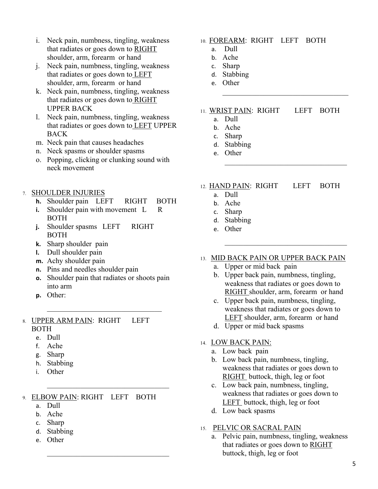- i. Neck pain, numbness, tingling, weakness that radiates or goes down to RIGHT shoulder, arm, forearm or hand
- j. Neck pain, numbness, tingling, weakness that radiates or goes down to LEFT shoulder, arm, forearm or hand
- k. Neck pain, numbness, tingling, weakness that radiates or goes down to RIGHT UPPER BACK
- l. Neck pain, numbness, tingling, weakness that radiates or goes down to LEFT UPPER BACK
- m. Neck pain that causes headaches
- n. Neck spasms or shoulder spasms
- o. Popping, clicking or clunking sound with neck movement
- 7. SHOULDER INJURIES
	- **h.** Shoulder pain LEFT RIGHT BOTH
	- **i.** Shoulder pain with movement L R BOTH
	- **j.** Shoulder spasms LEFT RIGHT BOTH
	- **k.** Sharp shoulder pain
	- **l.** Dull shoulder pain
	- **m.** Achy shoulder pain
	- **n.** Pins and needles shoulder pain
	- **o.** Shoulder pain that radiates or shoots pain into arm
	- **p.** Other:

#### 8. UPPER ARM PAIN: RIGHT LEFT BOTH

- e. Dull
- f. Ache
- g. Sharp
- h. Stabbing
- i. Other

# 9. ELBOW PAIN: RIGHT LEFT BOTH

- a. Dull
- b. Ache
- c. Sharp
- d. Stabbing
- e. Other

## 10. FOREARM: RIGHT LEFT BOTH

- a. Dull
- b. Ache
- c. Sharp
- d. Stabbing
- e. Other

### 11. WRIST PAIN: RIGHT LEFT BOTH

- a. Dull
- b. Ache
- c. Sharp
- d. Stabbing
- e. Other
- 12. HAND PAIN: RIGHT LEFT BOTH
	- a. Dull
	- b. Ache
	- c. Sharp
	- d. Stabbing
	- e. Other
- 13. MID BACK PAIN OR UPPER BACK PAIN
	- a. Upper or mid back pain
	- b. Upper back pain, numbness, tingling, weakness that radiates or goes down to RIGHT shoulder, arm, forearm or hand
	- c. Upper back pain, numbness, tingling, weakness that radiates or goes down to LEFT shoulder, arm, forearm or hand
	- d. Upper or mid back spasms

### 14. LOW BACK PAIN:

- a. Low back pain
- b. Low back pain, numbness, tingling, weakness that radiates or goes down to RIGHT buttock, thigh, leg or foot
- c. Low back pain, numbness, tingling, weakness that radiates or goes down to LEFT buttock, thigh, leg or foot
- d. Low back spasms

### 15. PELVIC OR SACRAL PAIN

a. Pelvic pain, numbness, tingling, weakness that radiates or goes down to RIGHT buttock, thigh, leg or foot